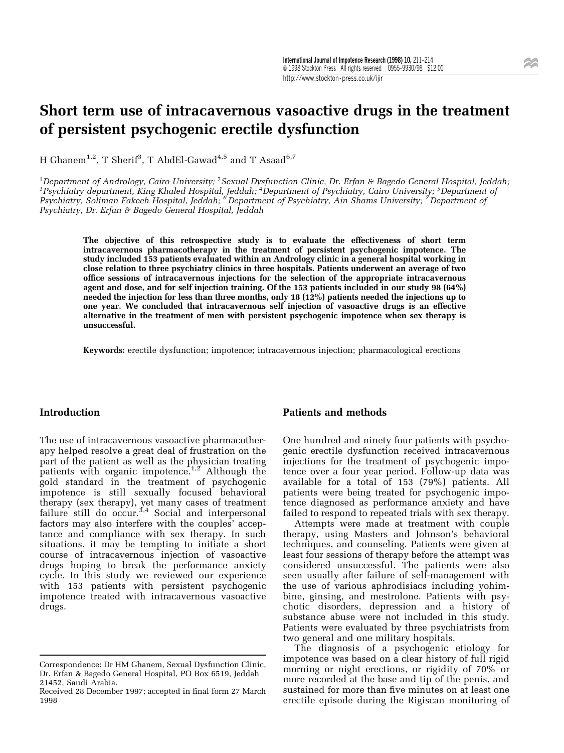# Short term use of intracavernous vasoactive drugs in the treatment of persistent psychogenic erectile dysfunction

H Ghanem $^{1,2}$ , T Sherif $^3$ , T AbdEl-Gawa $\rm{d}^{4,5}$  and T Asaa $\rm{d}^{6,7}$ 

<sup>1</sup>Department of Andrology, Cairo University; <sup>2</sup>Sexual Dysfunction Clinic, Dr. Erfan & Bagedo General Hospital, Jeddah;<br><sup>3</sup>Psychiatry department, King Khaled Hospital, Jeddah; <sup>4</sup>Department of Psychiatry, Cairo University Psychiatry, Soliman Fakeeh Hospital, Jeddah; <sup>6</sup> Department of Psychiatry, Ain Shams University; <sup>7</sup> Department of Psychiatry, Dr. Erfan & Bagedo General Hospital, Jeddah

The objective of this retrospective study is to evaluate the effectiveness of short term intracavernous pharmacotherapy in the treatment of persistent psychogenic impotence. The study included 153 patients evaluated within an Andrology clinic in a general hospital working in close relation to three psychiatry clinics in three hospitals. Patients underwent an average of two office sessions of intracavernous injections for the selection of the appropriate intracavernous agent and dose, and for self injection training. Of the 153 patients included in our study 98 (64%) needed the injection for less than three months, only 18 (12%) patients needed the injections up to one year. We concluded that intracavernous self injection of vasoactive drugs is an effective alternative in the treatment of men with persistent psychogenic impotence when sex therapy is unsuccessful.

Keywords: erectile dysfunction; impotence; intracavernous injection; pharmacological erections

### Introduction

The use of intracavernous vasoactive pharmacotherapy helped resolve a great deal of frustration on the part of the patient as well as the physician treating patients with organic impotence.<sup>1,2</sup> Although the gold standard in the treatment of psychogenic impotence is still sexually focused behavioral therapy (sex therapy), yet many cases of treatment failure still do  $occur<sup>3,4</sup>$  Social and interpersonal factors may also interfere with the couples' acceptance and compliance with sex therapy. In such situations, it may be tempting to initiate a short course of intracavernous injection of vasoactive drugs hoping to break the performance anxiety cycle. In this study we reviewed our experience with 153 patients with persistent psychogenic impotence treated with intracavernous vasoactive drugs.

### Patients and methods

One hundred and ninety four patients with psychogenic erectile dysfunction received intracavernous injections for the treatment of psychogenic impotence over a four year period. Follow-up data was available for a total of 153 (79%) patients. All patients were being treated for psychogenic impotence diagnosed as performance anxiety and have failed to respond to repeated trials with sex therapy.

Attempts were made at treatment with couple therapy, using Masters and Johnson's behavioral techniques, and counseling. Patients were given at least four sessions of therapy before the attempt was considered unsuccessful. The patients were also seen usually after failure of self-management with the use of various aphrodisiacs including yohimbine, ginsing, and mestrolone. Patients with psychotic disorders, depression and a history of substance abuse were not included in this study. Patients were evaluated by three psychiatrists from two general and one military hospitals.

The diagnosis of a psychogenic etiology for impotence was based on a clear history of full rigid morning or night erections, or rigidity of 70% or more recorded at the base and tip of the penis, and sustained for more than five minutes on at least one erectile episode during the Rigiscan monitoring of

Correspondence: Dr HM Ghanem, Sexual Dysfunction Clinic, Dr. Erfan & Bagedo General Hospital, PO Box 6519, Jeddah 21452, Saudi Arabia.

Received 28 December 1997; accepted in final form 27 March 1998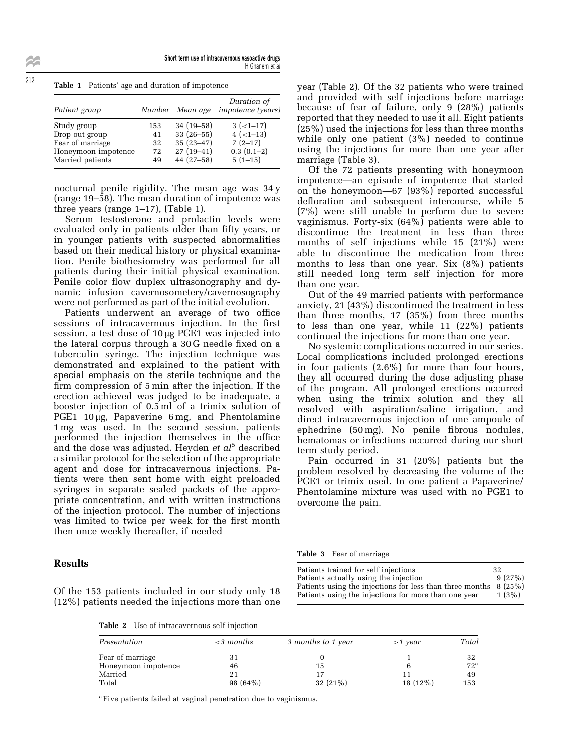Short term use of intracavernous vasoactive drugs <sup>H</sup> Ghanem et al

|               | <b>Table</b> 1 I attends ago and daradion of importance |                                |
|---------------|---------------------------------------------------------|--------------------------------|
|               |                                                         | Duration of                    |
| Patient group |                                                         | Number Mean age impotence (yed |

Table 1 Patients' age and duration of impotence

| Patient group<br>Number Mean age impotence (years) |              |
|----------------------------------------------------|--------------|
| $34(19-58)$<br>Study group<br>153                  | $3(-1-17)$   |
| $33(26-55)$<br>Drop out group<br>41                | $4 (-1-13)$  |
| $35(23-47)$<br>Fear of marriage<br>32              | $7(2-17)$    |
| $27(19-41)$<br>Honeymoon impotence<br>72           | $0.3(0.1-2)$ |
| $44(27-58)$<br>Married patients<br>49              | $5(1-15)$    |

nocturnal penile rigidity. The mean age was 34 y (range 19–58). The mean duration of impotence was three years (range  $1-17$ ), (Table 1).

Serum testosterone and prolactin levels were evaluated only in patients older than fifty years, or in younger patients with suspected abnormalities based on their medical history or physical examination. Penile biothesiometry was performed for all patients during their initial physical examination. Penile color flow duplex ultrasonography and dynamic infusion cavernosometery/cavernosography were not performed as part of the initial evolution.

Patients underwent an average of two office sessions of intracavernous injection. In the first session, a test dose of  $10 \mu$ g PGE1 was injected into the lateral corpus through a 30 G needle fixed on a tuberculin syringe. The injection technique was demonstrated and explained to the patient with special emphasis on the sterile technique and the firm compression of 5 min after the injection. If the erection achieved was judged to be inadequate, a booster injection of 0.5 ml of a trimix solution of PGE1  $10 \mu$ g, Papaverine 6 mg, and Phentolamine 1 mg was used. In the second session, patients performed the injection themselves in the office and the dose was adjusted. Heyden  $et al<sup>5</sup>$  described a similar protocol for the selection of the appropriate agent and dose for intracavernous injections. Patients were then sent home with eight preloaded syringes in separate sealed packets of the appropriate concentration, and with written instructions of the injection protocol. The number of injections was limited to twice per week for the first month then once weekly thereafter, if needed

### Results

year (Table 2). Of the 32 patients who were trained and provided with self injections before marriage because of fear of failure, only 9 (28%) patients reported that they needed to use it all. Eight patients (25%) used the injections for less than three months while only one patient (3%) needed to continue using the injections for more than one year after marriage (Table 3).

Of the 72 patients presenting with honeymoon impotence—an episode of impotence that started on the honeymoon—67  $(93\%)$  reported successful defloration and subsequent intercourse, while 5 (7%) were still unable to perform due to severe vaginismus. Forty-six (64%) patients were able to discontinue the treatment in less than three months of self injections while 15 (21%) were able to discontinue the medication from three months to less than one year. Six (8%) patients still needed long term self injection for more than one year.

Out of the 49 married patients with performance anxiety, 21 (43%) discontinued the treatment in less than three months, 17 (35%) from three months to less than one year, while 11 (22%) patients continued the injections for more than one year.

No systemic complications occurred in our series. Local complications included prolonged erections in four patients (2.6%) for more than four hours, they all occurred during the dose adjusting phase of the program. All prolonged erections occurred when using the trimix solution and they all resolved with aspiration/saline irrigation, and direct intracavernous injection of one ampoule of ephedrine  $(50 \,\mathrm{mg})$ . No penile fibrous nodules, hematomas or infections occurred during our short term study period.

Pain occurred in 31 (20%) patients but the problem resolved by decreasing the volume of the PGE1 or trimix used. In one patient a Papaverine/ Phentolamine mixture was used with no PGE1 to overcome the pain.

Table 3 Fear of marriage

Of the 153 patients included in our study only 18 (12%) patients needed the injections more than one

| Patients trained for self injections                              | 32       |
|-------------------------------------------------------------------|----------|
| Patients actually using the injection                             | 9(27%)   |
| Patients using the injections for less than three months $8(25%)$ |          |
| Patients using the injections for more than one year              | $1(3\%)$ |

Table 2 Use of intracavernous self injection

| Presentation        | $<$ 3 months | 3 months to 1 year | $>1$ vear | Total        |
|---------------------|--------------|--------------------|-----------|--------------|
| Fear of marriage    | 31           |                    |           | 32           |
| Honeymoon impotence | 46           | 15                 |           | $72^{\rm a}$ |
| Married             | 21           |                    | 11        | 49           |
| Total               | $98(64\%)$   | $32(21\%)$         | 18 (12%)  | 153          |

<sup>a</sup> Five patients failed at vaginal penetration due to vaginismus.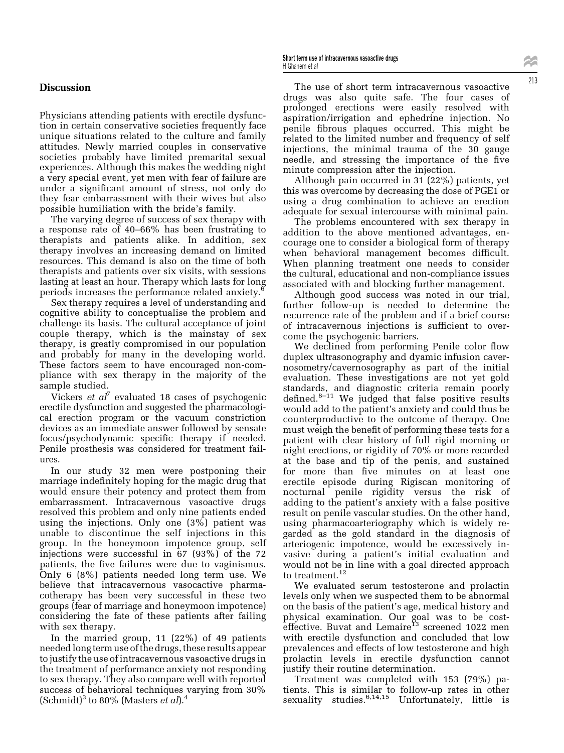### **Discussion**

Physicians attending patients with erectile dysfunction in certain conservative societies frequently face unique situations related to the culture and family attitudes. Newly married couples in conservative societies probably have limited premarital sexual experiences. Although this makes the wedding night a very special event, yet men with fear of failure are under a significant amount of stress, not only do they fear embarrassment with their wives but also possible humiliation with the bride's family.

The varying degree of success of sex therapy with a response rate of 40–66% has been frustrating to therapists and patients alike. In addition, sex therapy involves an increasing demand on limited resources. This demand is also on the time of both therapists and patients over six visits, with sessions lasting at least an hour. Therapy which lasts for long periods increases the performance related anxiety.<sup>6</sup>

Sex therapy requires a level of understanding and cognitive ability to conceptualise the problem and challenge its basis. The cultural acceptance of joint couple therapy, which is the mainstay of sex therapy, is greatly compromised in our population and probably for many in the developing world. These factors seem to have encouraged non-compliance with sex therapy in the majority of the sample studied.

Vickers et  $al^7$  evaluated 18 cases of psychogenic erectile dysfunction and suggested the pharmacological erection program or the vacuum constriction devices as an immediate answer followed by sensate focus/psychodynamic specific therapy if needed. Penile prosthesis was considered for treatment failures.

In our study 32 men were postponing their marriage indefinitely hoping for the magic drug that would ensure their potency and protect them from embarrassment. Intracavernous vasoactive drugs resolved this problem and only nine patients ended using the injections. Only one (3%) patient was unable to discontinue the self injections in this group. In the honeymoon impotence group, self injections were successful in 67 (93%) of the 72 patients, the five failures were due to vaginismus. Only 6 (8%) patients needed long term use. We believe that intracavernous vasocactive pharmacotherapy has been very successful in these two groups (fear of marriage and honeymoon impotence) considering the fate of these patients after failing with sex therapy.

In the married group, 11 (22%) of 49 patients needed long term use of the drugs, these results appear to justify the use ofintracavernous vasoactive drugs in the treatment of performance anxiety not responding to sex therapy. They also compare well with reported success of behavioral techniques varying from 30% (Schmidt)<sup>3</sup> to 80% (Masters *et al*).<sup>4</sup>

Short term use of intracavernous vasoactive drugs <sup>H</sup> Ghanem et al

The use of short term intracavernous vasoactive drugs was also quite safe. The four cases of prolonged erections were easily resolved with aspiration/irrigation and ephedrine injection. No penile fibrous plaques occurred. This might be related to the limited number and frequency of self injections, the minimal trauma of the 30 gauge needle, and stressing the importance of the five minute compression after the injection.

Although pain occurred in 31 (22%) patients, yet this was overcome by decreasing the dose of PGE1 or using a drug combination to achieve an erection adequate for sexual intercourse with minimal pain.

The problems encountered with sex therapy in addition to the above mentioned advantages, encourage one to consider a biological form of therapy when behavioral management becomes difficult. When planning treatment one needs to consider the cultural, educational and non-compliance issues associated with and blocking further management.

Although good success was noted in our trial, further follow-up is needed to determine the recurrence rate of the problem and if a brief course of intracavernous injections is sufficient to overcome the psychogenic barriers.

We declined from performing Penile color flow duplex ultrasonography and dyamic infusion cavernosometry/cavernosography as part of the initial evaluation. These investigations are not yet gold standards, and diagnostic criteria remain poorly  $\det$   $\mathbb{R}^{8-11}$  We judged that false positive results would add to the patient's anxiety and could thus be counterproductive to the outcome of therapy. One must weigh the benefit of performing these tests for a patient with clear history of full rigid morning or night erections, or rigidity of 70% or more recorded at the base and tip of the penis, and sustained for more than five minutes on at least one erectile episode during Rigiscan monitoring of nocturnal penile rigidity versus the risk of adding to the patient's anxiety with a false positive result on penile vascular studies. On the other hand, using pharmacoarteriography which is widely regarded as the gold standard in the diagnosis of arteriogenic impotence, would be excessively invasive during a patient's initial evaluation and would not be in line with a goal directed approach to treatment.<sup>12</sup>

We evaluated serum testosterone and prolactin levels only when we suspected them to be abnormal on the basis of the patient's age, medical history and physical examination. Our goal was to be costeffective. Buvat and Lemaire<sup>13</sup> screened 1022 men with erectile dysfunction and concluded that low prevalences and effects of low testosterone and high prolactin levels in erectile dysfunction cannot justify their routine determination.

Treatment was completed with 153 (79%) patients. This is similar to follow-up rates in other sexuality studies.<sup>6,14,15</sup> Unfortunately, little is